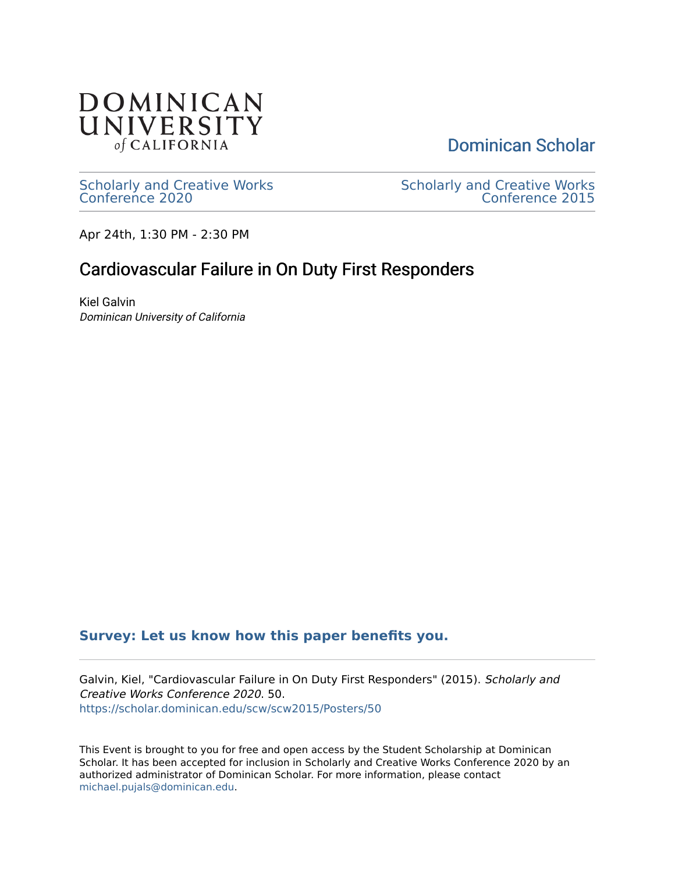

[Dominican Scholar](https://scholar.dominican.edu/) 

[Scholarly and Creative Works](https://scholar.dominican.edu/scw) [Conference 2020](https://scholar.dominican.edu/scw) 

[Scholarly and Creative Works](https://scholar.dominican.edu/scw/scw2015)  [Conference 2015](https://scholar.dominican.edu/scw/scw2015) 

Apr 24th, 1:30 PM - 2:30 PM

## Cardiovascular Failure in On Duty First Responders

Kiel Galvin Dominican University of California

## **[Survey: Let us know how this paper benefits you.](https://dominican.libwizard.com/dominican-scholar-feedback)**

Galvin, Kiel, "Cardiovascular Failure in On Duty First Responders" (2015). Scholarly and Creative Works Conference 2020. 50. [https://scholar.dominican.edu/scw/scw2015/Posters/50](https://scholar.dominican.edu/scw/scw2015/Posters/50?utm_source=scholar.dominican.edu%2Fscw%2Fscw2015%2FPosters%2F50&utm_medium=PDF&utm_campaign=PDFCoverPages)

This Event is brought to you for free and open access by the Student Scholarship at Dominican Scholar. It has been accepted for inclusion in Scholarly and Creative Works Conference 2020 by an authorized administrator of Dominican Scholar. For more information, please contact [michael.pujals@dominican.edu.](mailto:michael.pujals@dominican.edu)